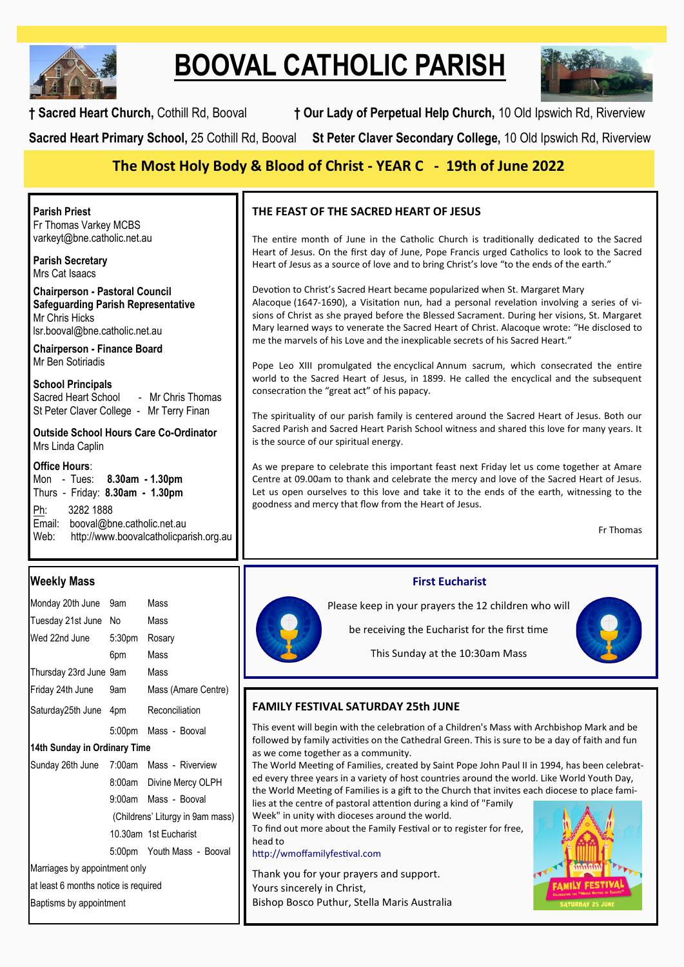

# **BOOVAL CATHOLIC PARISH**



**† Sacred Heart Church,** Cothill Rd, Booval **† Our Lady of Perpetual Help Church,** 10 Old Ipswich Rd, Riverview **Sacred Heart Primary School,** 25 Cothill Rd, Booval **St Peter Claver Secondary College,** 10 Old Ipswich Rd, Riverview

## **The Most Holy Body & Blood of Christ - YEAR C - 19th of June 2022**

**Parish Priest** Fr Thomas Varkey MCBS varkeyt@bne.catholic.net.au

**Parish Secretary** Mrs Cat Isaacs

**Chairperson - Pastoral Council Safeguarding Parish Representative** Mr Chris Hicks [lsr.booval@bne.catholic.net.au](mailto:lsr.booval@bne.catholi.net.au)

**Chairperson - Finance Board** Mr Ben Sotiriadis

**School Principals**<br>Sacred Heart School - Mr Chris Thomas St Peter Claver College - Mr Terry Finan

**Outside School Hours Care Co-Ordinator** Mrs Linda Caplin

#### **Office Hours**:

Mon - Tues: **8.30am - 1.30pm** Thurs - Friday: **8.30am - 1.30pm** Ph: 3282 1888 Email: booval@bne.catholic.net.au<br>Web: http://www.boovalcatholicpa http://www.boovalcatholicparish.org.au

## **Weekly Mass**

| Monday 20th June 9am                     |     | Mass                       |  |  |
|------------------------------------------|-----|----------------------------|--|--|
| Tuesday 21st June No                     |     | Mass                       |  |  |
| Wed 22nd June 5:30pm                     |     | Rosary                     |  |  |
|                                          | 6pm | Mass                       |  |  |
| Thursday 23rd June 9am Mass              |     |                            |  |  |
| Friday 24th June 9am                     |     | Mass (Amare Centre)        |  |  |
| Saturday25th June 4pm Reconciliation     |     |                            |  |  |
|                                          |     | 5:00pm Mass - Booval       |  |  |
| 14th Sunday in Ordinary Time             |     |                            |  |  |
| Sunday 26th June 7:00am Mass - Riverview |     |                            |  |  |
|                                          |     | 8:00am Divine Mercy OLPH   |  |  |
|                                          |     | 9:00am Mass - Booval       |  |  |
| (Childrens' Liturgy in 9am mass)         |     |                            |  |  |
|                                          |     | 10.30am 1st Fucharist      |  |  |
|                                          |     | 5:00pm Youth Mass - Booval |  |  |
| Marriages by appointment only            |     |                            |  |  |
| at least 6 months notice is required     |     |                            |  |  |
| Baptisms by appointment                  |     |                            |  |  |

## **THE [FEAST OF THE SACRED HEART OF JESUS](https://www.catholicnewsagency.com/saint/the-most-sacred-heart-of-jesus-275)**

The entire month of June in the Catholic Church is traditionally dedicated to the Sacred [Heart of Jesus.](https://www.catholicnewsagency.com/news/44913/what-is-the-solemnity-of-the-sacred-heart-a-cna-explainer) On the first day of June, Pope Francis urged Catholics to look to the Sacred Heart of Jesus as a source of love and to bring Christ's love "to the ends of the earth."

Devotion to Christ's Sacred Heart became popularized when [St. Margaret Mary](https://www.catholicnewsagency.com/saint/st-margaret-mary-alacoque-626)  [Alacoque](https://www.catholicnewsagency.com/saint/st-margaret-mary-alacoque-626) (1647-1690), a Visitation nun, had a personal revelation involving a series of visions of Christ as she prayed before the Blessed Sacrament. During her visions, St. Margaret Mary learned ways to venerate the Sacred Heart of Christ. Alacoque wrote: "He disclosed to me the marvels of his Love and the inexplicable secrets of his Sacred Heart."

Pope Leo XIII promulgated the [encyclical](https://www.vatican.va/content/leo-xiii/en/encyclicals/documents/hf_l-xiii_enc_25051899_annum-sacrum.html) Annum sacrum, which consecrated the entire world to the Sacred Heart of Jesus, in 1899. He called the encyclical and the subsequent consecration the "great act" of his papacy.

The spirituality of our parish family is centered around the Sacred Heart of Jesus. Both our Sacred Parish and Sacred Heart Parish School witness and shared this love for many years. It is the source of our spiritual energy.

As we prepare to celebrate this important feast next Friday let us come together at Amare Centre at 09.00am to thank and celebrate the mercy and love of the Sacred Heart of Jesus. Let us open ourselves to this love and take it to the ends of the earth, witnessing to the goodness and mercy that flow from the Heart of Jesus.

Fr Thomas

#### **First Eucharist**

Please keep in your prayers the 12 children who will



This Sunday at the 10:30am Mass

be receiving the Eucharist for the first time

### **FAMILY FESTIVAL SATURDAY 25th JUNE**

This event will begin with the celebration of a Children's Mass with Archbishop Mark and be followed by family activities on the Cathedral Green. This is sure to be a day of faith and fun as we come together as a community.

The World Meeting of Families, created by Saint Pope John Paul II in 1994, has been celebrated every three years in a variety of host countries around the world. Like World Youth Day, the World Meeting of Families is a gift to the Church that invites each diocese to place families at the centre of pastoral attention during a kind of "Family

Week" in unity with dioceses around the world. To find out more about the Family Festival or to register for free, head to

http://wmoffamilyfestival.com

Thank you for your prayers and support. Yours sincerely in Christ, Bishop Bosco Puthur, Stella Maris Australia